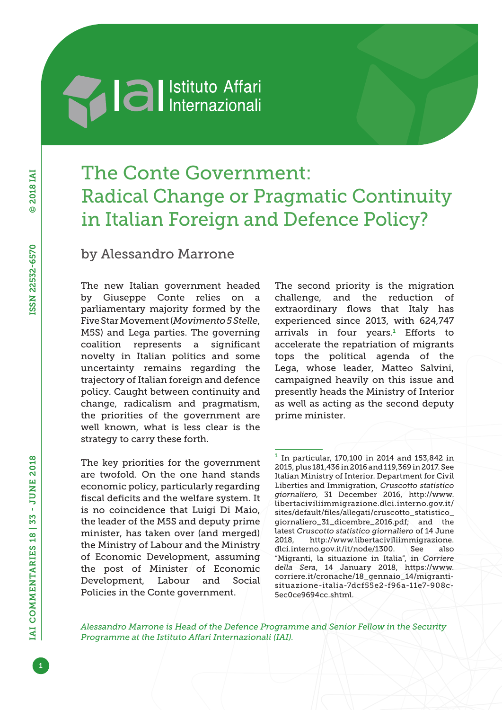# **Machimed Settlemannial Reviews**

## The Conte Government: Radical Change or Pragmatic Continuity in Italian Foreign and Defence Policy?

### by Alessandro Marrone

The new Italian government headed by Giuseppe Conte relies on a parliamentary majority formed by the Five Star Movement (*Movimento 5 Stelle*, M5S) and Lega parties. The governing coalition represents a significant novelty in Italian politics and some uncertainty remains regarding the trajectory of Italian foreign and defence policy. Caught between continuity and change, radicalism and pragmatism, the priorities of the government are well known, what is less clear is the strategy to carry these forth.

The key priorities for the government are twofold. On the one hand stands economic policy, particularly regarding fiscal deficits and the welfare system. It is no coincidence that Luigi Di Maio, the leader of the M5S and deputy prime minister, has taken over (and merged) the Ministry of Labour and the Ministry of Economic Development, assuming the post of Minister of Economic Development, Labour and Social Policies in the Conte government.

The second priority is the migration challenge, and the reduction of extraordinary flows that Italy has experienced since 2013, with 624,747 arrivals in four years.<sup>1</sup> Efforts to accelerate the repatriation of migrants tops the political agenda of the Lega, whose leader, Matteo Salvini, campaigned heavily on this issue and presently heads the Ministry of Interior as well as acting as the second deputy prime minister.

 $1$  In particular, 170,100 in 2014 and 153,842 in 2015, plus 181,436 in 2016 and 119,369 in 2017. See Italian Ministry of Interior. Department for Civil Liberties and Immigration, *Cruscotto statistico giornaliero*, 31 December 2016, [http://www.](http://www.libertaciviliimmigrazione.dlci.interno.gov.it/sites/default/files/allegati/cruscotto_statistico_giornaliero_31_dicembre_2016.pdf) [libertaciviliimmigrazione.dlci.interno.gov.it/](http://www.libertaciviliimmigrazione.dlci.interno.gov.it/sites/default/files/allegati/cruscotto_statistico_giornaliero_31_dicembre_2016.pdf) [sites/default/files/allegati/cruscotto\\_statistico\\_](http://www.libertaciviliimmigrazione.dlci.interno.gov.it/sites/default/files/allegati/cruscotto_statistico_giornaliero_31_dicembre_2016.pdf) [giornaliero\\_31\\_dicembre\\_2016.pdf;](http://www.libertaciviliimmigrazione.dlci.interno.gov.it/sites/default/files/allegati/cruscotto_statistico_giornaliero_31_dicembre_2016.pdf) and the latest *Cruscotto statistico giornaliero* of 14 June 2018, [http://www.libertaciviliimmigrazione.](http://www.libertaciviliimmigrazione.dlci.interno.gov.it/it/node/1300) [dlci.interno.gov.it/it/node/1300](http://www.libertaciviliimmigrazione.dlci.interno.gov.it/it/node/1300). See also "Migranti, la situazione in Italia", in *Corriere della Sera*, 14 January 2018, [https://www.](https://www.corriere.it/cronache/18_gennaio_14/migranti-situazione-italia-7dcf55e2-f96a-11e7-908c-5ec0ce9694cc.shtml) [corriere.it/cronache/18\\_gennaio\\_14/migranti](https://www.corriere.it/cronache/18_gennaio_14/migranti-situazione-italia-7dcf55e2-f96a-11e7-908c-5ec0ce9694cc.shtml)[situazione-italia-7dcf55e2-f96a-11e7-908c-](https://www.corriere.it/cronache/18_gennaio_14/migranti-situazione-italia-7dcf55e2-f96a-11e7-908c-5ec0ce9694cc.shtml)[5ec0ce9694cc.shtml](https://www.corriere.it/cronache/18_gennaio_14/migranti-situazione-italia-7dcf55e2-f96a-11e7-908c-5ec0ce9694cc.shtml).

*Alessandro Marrone is Head of the Defence Programme and Senior Fellow in the Security Programme at the Istituto Affari Internazionali (IAI).*

1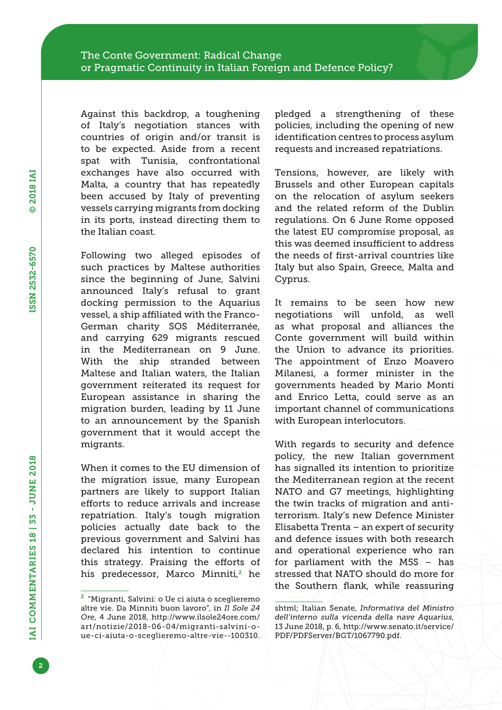Against this backdrop, a toughening of Italy's negotiation stances with countries of origin and/or transit is to be expected. Aside from a recent spat with Tunisia, confrontational exchanges have also occurred with Malta, a country that has repeatedly been accused by Italy of preventing vessels carrying migrants from docking in its ports, instead directing them to the Italian coast.

Following two alleged episodes of such practices by Maltese authorities since the beginning of June, Salvini announced Italy's refusal to grant docking permission to the Aquarius vessel, a ship affiliated with the Franco-German charity SOS Méditerranée, and carrying 629 migrants rescued in the Mediterranean on 9 June. With the ship stranded between Maltese and Italian waters, the Italian government reiterated its request for European assistance in sharing the migration burden, leading by 11 June to an announcement by the Spanish government that it would accept the migrants.

When it comes to the EU dimension of the migration issue, many European partners are likely to support Italian efforts to reduce arrivals and increase repatriation. Italy's tough migration policies actually date back to the previous government and Salvini has declared his intention to continue this strategy. Praising the efforts of his predecessor, Marco Minniti,<sup>2</sup> he pledged a strengthening of these policies, including the opening of new identification centres to process asylum requests and increased repatriations.

Tensions, however, are likely with Brussels and other European capitals on the relocation of asylum seekers and the related reform of the Dublin regulations. On 6 June Rome opposed the latest EU compromise proposal, as this was deemed insufficient to address the needs of first-arrival countries like Italy but also Spain, Greece, Malta and Cyprus.

It remains to be seen how new negotiations will unfold, as well as what proposal and alliances the Conte government will build within the Union to advance its priorities. The appointment of Enzo Moavero Milanesi, a former minister in the governments headed by Mario Monti and Enrico Letta, could serve as an important channel of communications with European interlocutors.

With regards to security and defence policy, the new Italian government has signalled its intention to prioritize the Mediterranean region at the recent NATO and G7 meetings, highlighting the twin tracks of migration and antiterrorism. Italy's new Defence Minister Elisabetta Trenta – an expert of security and defence issues with both research and operational experience who ran for parliament with the M5S – has stressed that NATO should do more for the Southern flank, while reassuring

<sup>2</sup> "Migranti, Salvini: o Ue ci aiuta o sceglieremo altre vie. Da Minniti buon lavoro", in *Il Sole 24 Ore*, 4 June 2018, [http://www.ilsole24ore.com/](http://www.ilsole24ore.com/art/notizie/2018-06-04/migranti-salvini-o-ue-ci-aiuta-o-sceglieremo-altre-vie--100310.shtml) [art/notizie/2018-06-04/migranti-salvini-o](http://www.ilsole24ore.com/art/notizie/2018-06-04/migranti-salvini-o-ue-ci-aiuta-o-sceglieremo-altre-vie--100310.shtml)[ue-ci-aiuta-o-sceglieremo-altre-vie--100310.](http://www.ilsole24ore.com/art/notizie/2018-06-04/migranti-salvini-o-ue-ci-aiuta-o-sceglieremo-altre-vie--100310.shtml)

[shtml](http://www.ilsole24ore.com/art/notizie/2018-06-04/migranti-salvini-o-ue-ci-aiuta-o-sceglieremo-altre-vie--100310.shtml); Italian Senate, *Informativa del Ministro dell'interno sulla vicenda della nave Aquarius*, 13 June 2018, p. 6, [http://www.senato.it/service/](http://www.senato.it/service/PDF/PDFServer/BGT/1067790.pdf) [PDF/PDFServer/BGT/1067790.pdf](http://www.senato.it/service/PDF/PDFServer/BGT/1067790.pdf).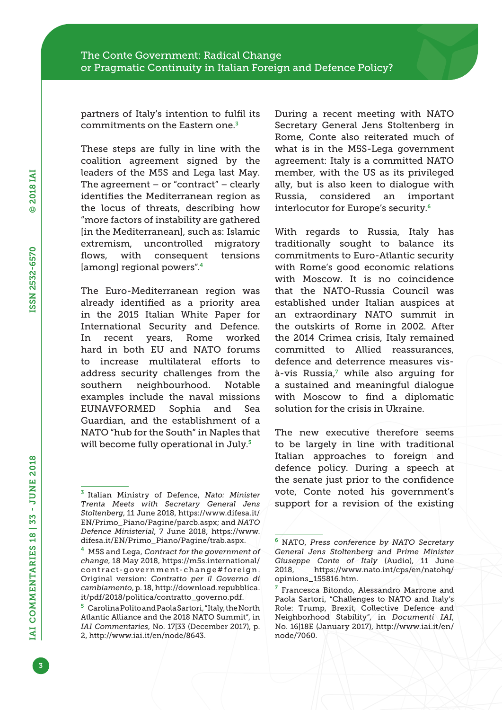partners of Italy's intention to fulfil its commitments on the Eastern one.<sup>3</sup>

These steps are fully in line with the coalition agreement signed by the leaders of the M5S and Lega last May. The agreement  $-$  or "contract"  $-$  clearly identifies the Mediterranean region as the locus of threats, describing how "more factors of instability are gathered [in the Mediterranean], such as: Islamic extremism, uncontrolled migratory flows, with consequent tensions [among] regional powers".<sup>4</sup>

The Euro-Mediterranean region was already identified as a priority area in the 2015 Italian White Paper for International Security and Defence. In recent years, Rome worked hard in both EU and NATO forums to increase multilateral efforts to address security challenges from the southern neighbourhood. Notable examples include the naval missions EUNAVFORMED Sophia and Sea Guardian, and the establishment of a NATO "hub for the South" in Naples that will become fully operational in July.<sup>5</sup>

During a recent meeting with NATO Secretary General Jens Stoltenberg in Rome, Conte also reiterated much of what is in the M5S-Lega government agreement: Italy is a committed NATO member, with the US as its privileged ally, but is also keen to dialogue with Russia, considered an important interlocutor for Europe's security.<sup>6</sup>

With regards to Russia, Italy has traditionally sought to balance its commitments to Euro-Atlantic security with Rome's good economic relations with Moscow. It is no coincidence that the NATO-Russia Council was established under Italian auspices at an extraordinary NATO summit in the outskirts of Rome in 2002. After the 2014 Crimea crisis, Italy remained committed to Allied reassurances, defence and deterrence measures visà-vis Russia,<sup>7</sup> while also arguing for a sustained and meaningful dialogue with Moscow to find a diplomatic solution for the crisis in Ukraine.

The new executive therefore seems to be largely in line with traditional Italian approaches to foreign and defence policy. During a speech at the senate just prior to the confidence vote, Conte noted his government's support for a revision of the existing

<sup>3</sup> Italian Ministry of Defence, *Nato: Minister Trenta Meets with Secretary General Jens Stoltenberg*, 11 June 2018, [https://www.difesa.it/](https://www.difesa.it/EN/Primo_Piano/Pagine/parcb.aspx) [EN/Primo\\_Piano/Pagine/parcb.aspx;](https://www.difesa.it/EN/Primo_Piano/Pagine/parcb.aspx) and *NATO Defence Ministerial*, 7 June 2018, [https://www.](https://www.difesa.it/EN/Primo_Piano/Pagine/trab.aspx) [difesa.it/EN/Primo\\_Piano/Pagine/trab.aspx.](https://www.difesa.it/EN/Primo_Piano/Pagine/trab.aspx)

<sup>4</sup> M5S and Lega, *Contract for the government of change*, 18 May 2018, [https://m5s.international/](https://m5s.international/contract-government-change#foreign) [contract-government-change#foreign](https://m5s.international/contract-government-change#foreign). Original version: *Contratto per il Governo di cambiamento*, p. 18, [http://download.repubblica.](http://download.repubblica.it/pdf/2018/politica/contratto_governo.pdf) [it/pdf/2018/politica/contratto\\_governo.pdf](http://download.repubblica.it/pdf/2018/politica/contratto_governo.pdf).

<sup>5</sup> Carolina Polito and Paola Sartori, "Italy, the North Atlantic Alliance and the 2018 NATO Summit", in *IAI Commentaries*, No. 17|33 (December 2017), p. 2, [http://www.iai.it/en/node/8643.](http://www.iai.it/en/node/8643)

<sup>6</sup> NATO, *Press conference by NATO Secretary General Jens Stoltenberg and Prime Minister Giuseppe Conte of Italy* (Audio), 11 June 2018, [https://www.nato.int/cps/en/natohq/](https://www.nato.int/cps/en/natohq/opinions_155816.htm) [opinions\\_155816.htm](https://www.nato.int/cps/en/natohq/opinions_155816.htm).

<sup>7</sup> Francesca Bitondo, Alessandro Marrone and Paola Sartori, "Challenges to NATO and Italy's Role: Trump, Brexit, Collective Defence and Neighborhood Stability", in *Documenti IAI*, No. 16|18E (January 2017), [http://www.iai.it/en/](http://www.iai.it/en/node/7060) [node/7060](http://www.iai.it/en/node/7060).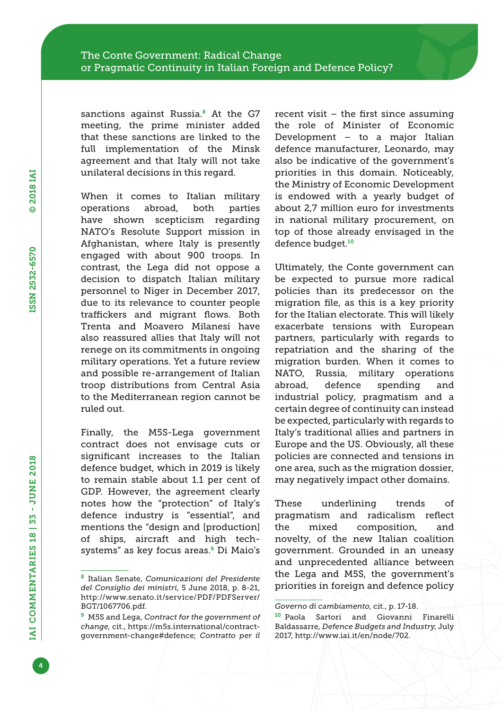sanctions against Russia.<sup>8</sup> At the G7 meeting, the prime minister added that these sanctions are linked to the full implementation of the Minsk agreement and that Italy will not take unilateral decisions in this regard.

When it comes to Italian military operations abroad, both parties have shown scepticism regarding NATO's Resolute Support mission in Afghanistan, where Italy is presently engaged with about 900 troops. In contrast, the Lega did not oppose a decision to dispatch Italian military personnel to Niger in December 2017, due to its relevance to counter people traffickers and migrant flows. Both Trenta and Moavero Milanesi have also reassured allies that Italy will not renege on its commitments in ongoing military operations. Yet a future review and possible re-arrangement of Italian troop distributions from Central Asia to the Mediterranean region cannot be ruled out.

Finally, the M5S-Lega government contract does not envisage cuts or significant increases to the Italian defence budget, which in 2019 is likely to remain stable about 1.1 per cent of GDP. However, the agreement clearly notes how the "protection" of Italy's defence industry is "essential", and mentions the "design and [production] of ships, aircraft and high techsystems" as key focus areas.9 Di Maio's recent visit – the first since assuming the role of Minister of Economic Development – to a major Italian defence manufacturer, Leonardo, may also be indicative of the government's priorities in this domain. Noticeably, the Ministry of Economic Development is endowed with a yearly budget of about 2,7 million euro for investments in national military procurement, on top of those already envisaged in the defence budget.<sup>10</sup>

Ultimately, the Conte government can be expected to pursue more radical policies than its predecessor on the migration file, as this is a key priority for the Italian electorate. This will likely exacerbate tensions with European partners, particularly with regards to repatriation and the sharing of the migration burden. When it comes to NATO, Russia, military operations abroad, defence spending and industrial policy, pragmatism and a certain degree of continuity can instead be expected, particularly with regards to Italy's traditional allies and partners in Europe and the US. Obviously, all these policies are connected and tensions in one area, such as the migration dossier, may negatively impact other domains.

These underlining trends of pragmatism and radicalism reflect the mixed composition, and novelty, of the new Italian coalition government. Grounded in an uneasy and unprecedented alliance between the Lega and M5S, the government's priorities in foreign and defence policy

<sup>8</sup> Italian Senate, *Comunicazioni del Presidente del Consiglio dei ministri*, 5 June 2018, p. 8-21, [http://www.senato.it/service/PDF/PDFServer/](http://www.senato.it/service/PDF/PDFServer/BGT/1067706.pdf) [BGT/1067706.pdf](http://www.senato.it/service/PDF/PDFServer/BGT/1067706.pdf).

<sup>9</sup> M5S and Lega, *Contract for the government of change*, cit., [https://m5s.international/contract](https://m5s.international/contract-government-change#defence)[government-change#defence;](https://m5s.international/contract-government-change#defence) *Contratto per il* 

*Governo di cambiamento*, cit., p. 17-18.

<sup>10</sup> Paola Sartori and Giovanni Finarelli Baldassarre, *Defence Budgets and Industry*, July 2017, [http://www.iai.it/en/node/702.](http://www.iai.it/en/node/702)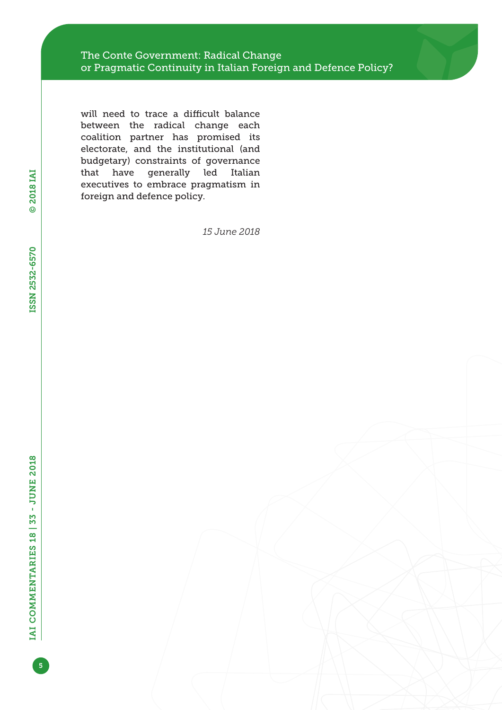will need to trace a difficult balance between the radical change each coalition partner has promised its electorate, and the institutional (and budgetary) constraints of governance that have generally led Italian executives to embrace pragmatism in foreign and defence policy.

*15 June 2018*